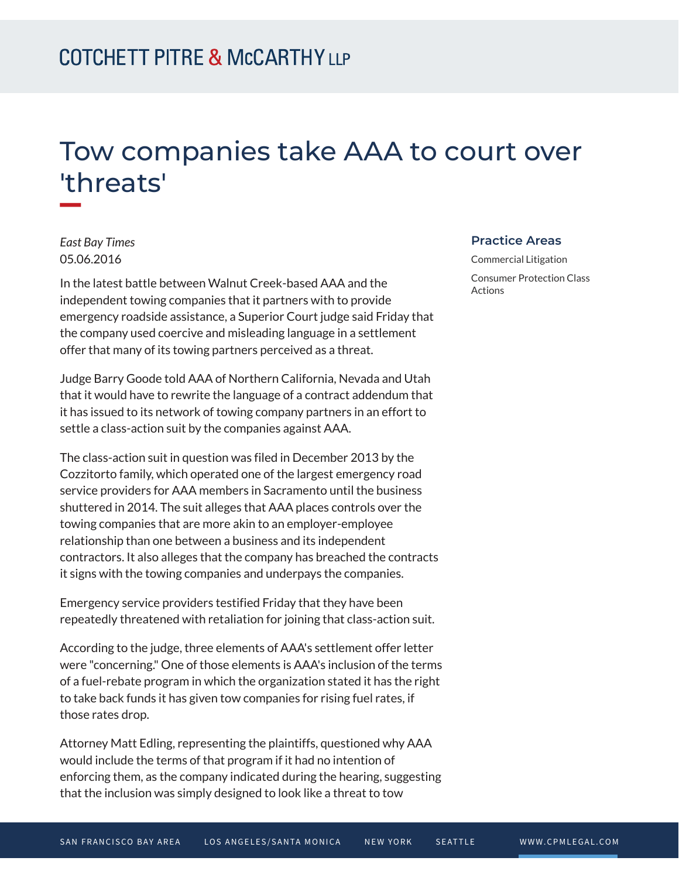## Tow companies take AAA to court over 'threats'

*East Bay Times* 05.06.2016

**William** 

In the latest battle between Walnut Creek-based AAA and the independent towing companies that it partners with to provide emergency roadside assistance, a Superior Court judge said Friday that the company used coercive and misleading language in a settlement offer that many of its towing partners perceived as a threat.

Judge Barry Goode told AAA of Northern California, Nevada and Utah that it would have to rewrite the language of a contract addendum that it has issued to its network of towing company partners in an effort to settle a class-action suit by the companies against AAA.

The class-action suit in question was filed in December 2013 by the Cozzitorto family, which operated one of the largest emergency road service providers for AAA members in Sacramento until the business shuttered in 2014. The suit alleges that AAA places controls over the towing companies that are more akin to an employer-employee relationship than one between a business and its independent contractors. It also alleges that the company has breached the contracts it signs with the towing companies and underpays the companies.

Emergency service providers testified Friday that they have been repeatedly threatened with retaliation for joining that class-action suit.

According to the judge, three elements of AAA's settlement offer letter were "concerning." One of those elements is AAA's inclusion of the terms of a fuel-rebate program in which the organization stated it has the right to take back funds it has given tow companies for rising fuel rates, if those rates drop.

Attorney Matt Edling, representing the plaintiffs, questioned why AAA would include the terms of that program if it had no intention of enforcing them, as the company indicated during the hearing, suggesting that the inclusion was simply designed to look like a threat to tow

## **Practice Areas**

Commercial Litigation Consumer Protection Class Actions